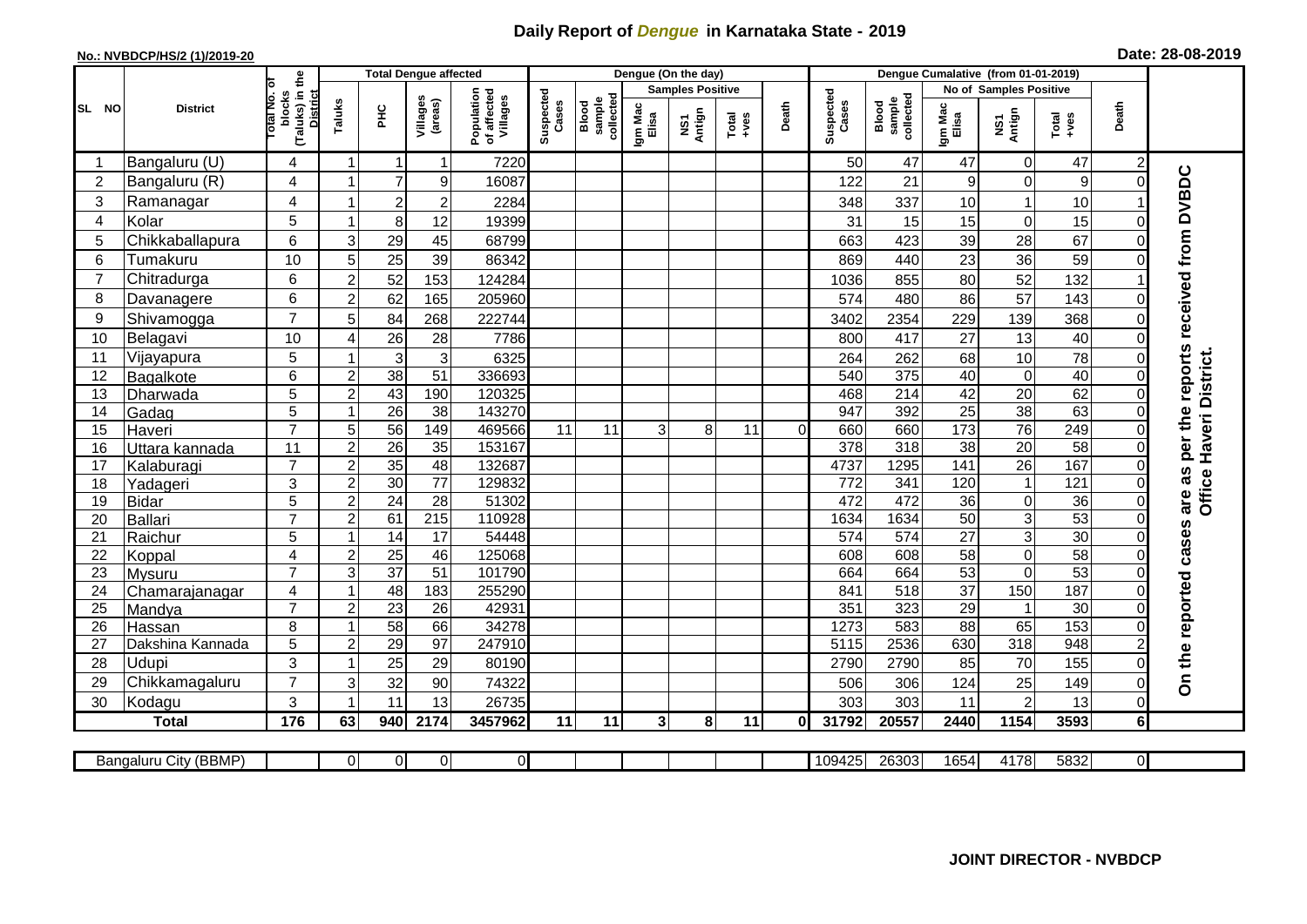## **Daily Report of** *Dengue* **in Karnataka State - 2019**

## **No.: NVBDCP/HS/2 (1)/2019-20 Date: 28-08-2019**

|                |                       |                                                              |                | <b>Total Dengue affected</b> |                     |                                       |                    |                              |                  | Dengue (On the day)     |               |          |                    |                              |                  |                        |                 |                |                                     |
|----------------|-----------------------|--------------------------------------------------------------|----------------|------------------------------|---------------------|---------------------------------------|--------------------|------------------------------|------------------|-------------------------|---------------|----------|--------------------|------------------------------|------------------|------------------------|-----------------|----------------|-------------------------------------|
|                |                       |                                                              |                |                              |                     |                                       |                    |                              |                  | <b>Samples Positive</b> |               |          |                    |                              |                  | No of Samples Positive |                 |                |                                     |
| SL NO          | <b>District</b>       | (Taluks) in the<br>lotal No. ol<br>blocks<br><b>District</b> | Taluks         | ŦЕ                           | Villages<br>(areas) | Population<br>of affected<br>Villages | Suspected<br>Cases | collected<br>sample<br>Blood | Igm Mac<br>Elisa | NS1<br>Antign           | Total<br>+ves | Death    | Suspected<br>Cases | sample<br>collected<br>Blood | Igm Mac<br>Elisa | NS1<br>Antign          | Total<br>+ves   | Death          |                                     |
|                | Bangaluru (U)         | 4                                                            | -1             | -1                           | $\mathbf 1$         | 7220                                  |                    |                              |                  |                         |               |          | 50                 | 47                           | 47               | $\overline{0}$         | 47              | $\overline{c}$ |                                     |
| 2              | Bangaluru (R)         | 4                                                            | 1              | $\overline{7}$               | 9                   | 16087                                 |                    |                              |                  |                         |               |          | 122                | 21                           | 9                | $\overline{0}$         | 9               | $\Omega$       |                                     |
| 3              | Ramanagar             | 4                                                            |                | $\overline{2}$               | $\overline{2}$      | 2284                                  |                    |                              |                  |                         |               |          | 348                | 337                          | 10               | $\mathbf{1}$           | 10              |                | per the reports received from DVBDC |
| 4              | Kolar                 | 5                                                            | 1              | 8 <sup>1</sup>               | 12                  | 19399                                 |                    |                              |                  |                         |               |          | 31                 | 15                           | 15               | $\overline{0}$         | 15              | $\Omega$       |                                     |
| 5              | Chikkaballapura       | 6                                                            | 3              | 29                           | 45                  | 68799                                 |                    |                              |                  |                         |               |          | 663                | 423                          | 39               | 28                     | 67              | $\Omega$       |                                     |
| 6              | Tumakuru              | 10                                                           | 5              | 25                           | 39                  | 86342                                 |                    |                              |                  |                         |               |          | 869                | 440                          | 23               | 36                     | 59              | 0              |                                     |
| $\overline{7}$ | Chitradurga           | 6                                                            | $\overline{c}$ | 52                           | 153                 | 124284                                |                    |                              |                  |                         |               |          | 1036               | 855                          | 80               | 52                     | 132             |                |                                     |
| 8              | Davanagere            | 6                                                            | $\overline{c}$ | 62                           | 165                 | 205960                                |                    |                              |                  |                         |               |          | 574                | 480                          | 86               | 57                     | 143             | 0              |                                     |
| 9              | Shivamogga            | $\overline{7}$                                               | 5              | 84                           | 268                 | 222744                                |                    |                              |                  |                         |               |          | 3402               | 2354                         | 229              | 139                    | 368             |                |                                     |
| 10             | Belagavi              | 10                                                           | 4              | 26                           | 28                  | 7786                                  |                    |                              |                  |                         |               |          | 800                | 417                          | 27               | 13                     | 40              |                |                                     |
| 11             | Vijayapura            | 5                                                            |                | $\mathbf{3}$                 | 3                   | 6325                                  |                    |                              |                  |                         |               |          | 264                | 262                          | 68               | 10                     | 78              | 0              |                                     |
| 12             | Bagalkote             | 6                                                            | $\overline{2}$ | 38                           | $\overline{51}$     | 336693                                |                    |                              |                  |                         |               |          | 540                | 375                          | 40               | $\overline{0}$         | 40              |                | Haveri District.                    |
| 13             | Dharwada              | $\overline{5}$                                               | $\overline{c}$ | 43                           | 190                 | 120325                                |                    |                              |                  |                         |               |          | 468                | 214                          | 42               | 20                     | 62              | $\Omega$       |                                     |
| 14             | Gadag                 | $\overline{5}$                                               | -1             | $\overline{26}$              | $\overline{38}$     | 143270                                |                    |                              |                  |                         |               |          | 947                | 392                          | 25               | 38                     | 63              | $\Omega$       |                                     |
| 15             | Haveri                | $\overline{7}$                                               | 5              | 56                           | 149                 | 469566                                | 11                 | 11                           | 3                | 8                       | 11            | $\Omega$ | 660                | 660                          | $\frac{1}{173}$  | 76                     | 249             | 0              |                                     |
| 16             | Uttara kannada        | 11                                                           | $\overline{a}$ | $\overline{26}$              | 35                  | 153167                                |                    |                              |                  |                         |               |          | 378                | 318                          | $\overline{38}$  | 20                     | 58              | 0              |                                     |
| 17             | Kalaburagi            | $\overline{7}$                                               | $\overline{2}$ | 35                           | 48                  | 132687                                |                    |                              |                  |                         |               |          | 4737               | 1295                         | 141              | 26                     | 167             | $\Omega$       | as                                  |
| 18             | Yadageri              | 3                                                            | $\overline{c}$ | 30                           | 77                  | 129832                                |                    |                              |                  |                         |               |          | 772                | 341                          | 120              | $\mathbf{1}$           | 121             | $\Omega$       |                                     |
| 19             | <b>Bidar</b>          | $\overline{5}$                                               | $\overline{c}$ | $\overline{24}$              | $\overline{28}$     | 51302                                 |                    |                              |                  |                         |               |          | 472                | 472                          | $\overline{36}$  | $\overline{0}$         | 36              | $\Omega$       | Office<br>are                       |
| 20             | <b>Ballari</b>        | $\overline{7}$                                               | 2              | 61                           | $\overline{215}$    | 110928                                |                    |                              |                  |                         |               |          | 1634               | 1634                         | $\overline{50}$  | $\mathbf{3}$           | 53              | 0              |                                     |
| 21             | Raichur               | 5                                                            |                | $\overline{14}$              | $\overline{17}$     | 54448                                 |                    |                              |                  |                         |               |          | 574                | $\overline{574}$             | $\overline{27}$  | $\overline{3}$         | 30              | $\Omega$       |                                     |
| 22             | Koppal                | 4                                                            | $\overline{2}$ | 25                           | 46                  | 125068                                |                    |                              |                  |                         |               |          | 608                | 608                          | 58               | $\mathbf 0$            | $\overline{58}$ | 0              |                                     |
| 23             | Mysuru                | $\overline{7}$                                               | 3              | $\overline{37}$              | $\overline{51}$     | 101790                                |                    |                              |                  |                         |               |          | 664                | 664                          | 53               | 0                      | 53              | $\Omega$       |                                     |
| 24             | Chamarajanagar        | 4                                                            | -1             | 48                           | $\overline{183}$    | 255290                                |                    |                              |                  |                         |               |          | 841                | $\overline{518}$             | $\overline{37}$  | 150                    | 187             | 0              |                                     |
| 25             | Mandya                | $\overline{7}$                                               | $\overline{2}$ | $\overline{23}$              | 26                  | 42931                                 |                    |                              |                  |                         |               |          | 351                | 323                          | $\overline{29}$  | $\mathbf{1}$           | $\overline{30}$ | $\Omega$       |                                     |
| 26             | Hassan                | 8                                                            | -1             | 58                           | 66                  | 34278                                 |                    |                              |                  |                         |               |          | 1273               | 583                          | 88               | 65                     | 153             | $\Omega$       |                                     |
| 27             | Dakshina Kannada      | 5                                                            | $\overline{2}$ | 29                           | 97                  | 247910                                |                    |                              |                  |                         |               |          | 5115               | 2536                         | 630              | 318                    | 948             | $\overline{2}$ |                                     |
| 28             | Udupi                 | 3<br>$\overline{7}$                                          | -1             | 25                           | 29                  | 80190                                 |                    |                              |                  |                         |               |          | 2790               | 2790                         | 85               | 70                     | 155             | $\Omega$       | On the reported cases               |
| 29             | Chikkamagaluru        |                                                              | 3              | 32                           | 90                  | 74322                                 |                    |                              |                  |                         |               |          | 506                | 306                          | 124              | 25                     | 149             | 0              |                                     |
| 30             | Kodagu                | 3                                                            | -1             | 11                           | 13                  | 26735                                 |                    |                              |                  |                         |               |          | 303                | 303                          | 11               | $\overline{c}$         | 13              | $\overline{O}$ |                                     |
|                | <b>Total</b>          | 176                                                          | 63             | 940                          | 2174                | 3457962                               | 11                 | 11                           | 3 <sup>1</sup>   | 8 <sup>1</sup>          | 11            | Οl       | 31792              | 20557                        | 2440             | 1154                   | 3593            | 6 <sup>1</sup> |                                     |
|                |                       |                                                              |                |                              |                     |                                       |                    |                              |                  |                         |               |          |                    |                              |                  |                        |                 |                |                                     |
|                | Bangaluru City (BBMP) |                                                              | $\Omega$       | $\overline{0}$               | $\overline{0}$      | $\overline{0}$                        |                    |                              |                  |                         |               |          | 109425             | 26303                        | 1654             | 4178                   | 5832            | ΟI             |                                     |